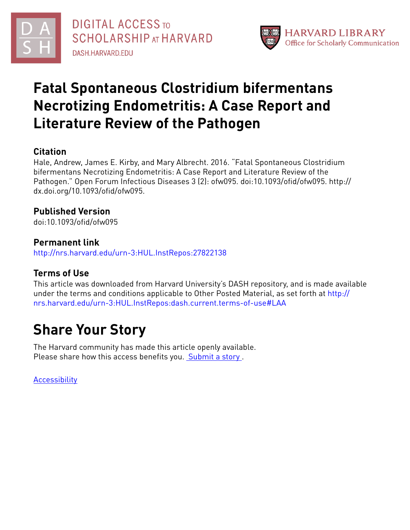



# **Fatal Spontaneous Clostridium bifermentans Necrotizing Endometritis: A Case Report and Literature Review of the Pathogen**

# **Citation**

Hale, Andrew, James E. Kirby, and Mary Albrecht. 2016. "Fatal Spontaneous Clostridium bifermentans Necrotizing Endometritis: A Case Report and Literature Review of the Pathogen." Open Forum Infectious Diseases 3 (2): ofw095. doi:10.1093/ofid/ofw095. http:// dx.doi.org/10.1093/ofid/ofw095.

# **Published Version**

doi:10.1093/ofid/ofw095

## **Permanent link**

<http://nrs.harvard.edu/urn-3:HUL.InstRepos:27822138>

# **Terms of Use**

This article was downloaded from Harvard University's DASH repository, and is made available under the terms and conditions applicable to Other Posted Material, as set forth at [http://](http://nrs.harvard.edu/urn-3:HUL.InstRepos:dash.current.terms-of-use#LAA) [nrs.harvard.edu/urn-3:HUL.InstRepos:dash.current.terms-of-use#LAA](http://nrs.harvard.edu/urn-3:HUL.InstRepos:dash.current.terms-of-use#LAA)

# **Share Your Story**

The Harvard community has made this article openly available. Please share how this access benefits you. [Submit](http://osc.hul.harvard.edu/dash/open-access-feedback?handle=&title=Fatal%20Spontaneous%20Clostridium%20bifermentans%20Necrotizing%20Endometritis:%20A%20Case%20Report%20and%20Literature%20Review%20of%20the%20Pathogen&community=1/4454685&collection=1/4454686&owningCollection1/4454686&harvardAuthors=57925bf3a89d97b2e980cc76e7d9fe67&department) a story.

[Accessibility](https://dash.harvard.edu/pages/accessibility)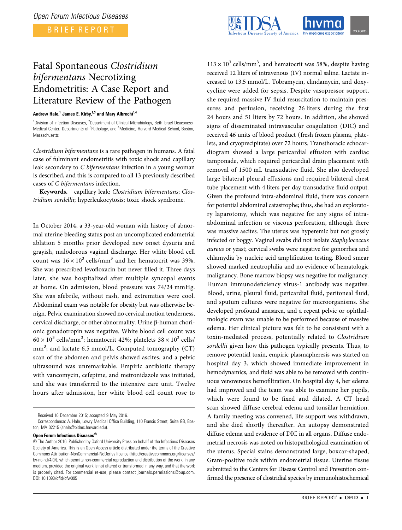BRIEF REPORT



### Fatal Spontaneous Clostridium bifermentans Necrotizing Endometritis: A Case Report and Literature Review of the Pathogen

#### Andrew Hale,<sup>1</sup> James E. Kirby,<sup>2,3</sup> and Mary Albrecht<sup>1,4</sup>

<sup>1</sup>Division of Infection Diseases, <sup>2</sup>Department of Clinical Microbiology, Beth Israel Deaconess Medical Center, Departments of <sup>3</sup>Pathology, and <sup>4</sup>Medicine, Harvard Medical School, Boston, **Massachusetts** 

Clostridium bifermentans is a rare pathogen in humans. A fatal case of fulminant endometritis with toxic shock and capillary leak secondary to C bifermentans infection in a young woman is described, and this is compared to all 13 previously described cases of C bifermentans infection.

Keywords. capillary leak; Clostridium bifermentans; Clostridium sordellii; hyperleukocytosis; toxic shock syndrome.

In October 2014, a 33-year-old woman with history of abnormal uterine bleeding status post an uncomplicated endometrial ablation 5 months prior developed new onset dysuria and grayish, malodorous vaginal discharge. Her white blood cell count was  $16 \times 10^3$  cells/mm<sup>3</sup> and her hematocrit was 39%. She was prescribed levofloxacin but never filled it. Three days later, she was hospitalized after multiple syncopal events at home. On admission, blood pressure was 74/24 mmHg. She was afebrile, without rash, and extremities were cool. Abdominal exam was notable for obesity but was otherwise benign. Pelvic examination showed no cervical motion tenderness, cervical discharge, or other abnormality. Urine β-human chorionic gonadotropin was negative. White blood cell count was  $60 \times 10^3$  cells/mm<sup>3</sup>; hematocrit 42%; platelets  $38 \times 10^3$  cells/ mm<sup>3</sup>; and lactate 6.5 mmol/L. Computed tomography (CT) scan of the abdomen and pelvis showed ascites, and a pelvic ultrasound was unremarkable. Empiric antibiotic therapy with vancomycin, cefepime, and metronidazole was initiated, and she was transferred to the intensive care unit. Twelve hours after admission, her white blood cell count rose to

#### Open Forum Infectious Diseases®

 $113 \times 10^3$  cells/mm<sup>3</sup>, and hematocrit was 58%, despite having received 12 liters of intravenous (IV) normal saline. Lactate increased to 13.5 mmol/L. Tobramycin, clindamycin, and doxycycline were added for sepsis. Despite vasopressor support, she required massive IV fluid resuscitation to maintain pressures and perfusion, receiving 26 liters during the first 24 hours and 51 liters by 72 hours. In addition, she showed signs of disseminated intravascular coagulation (DIC) and received 46 units of blood product (fresh frozen plasma, platelets, and cryoprecipitate) over 72 hours. Transthoracic echocardiogram showed a large pericardial effusion with cardiac tamponade, which required pericardial drain placement with removal of 1500 mL transudative fluid. She also developed large bilateral pleural effusions and required bilateral chest tube placement with 4 liters per day transudative fluid output. Given the profound intra-abdominal fluid, there was concern for potential abdominal catastrophe; thus, she had an exploratory laparotomy, which was negative for any signs of intraabdominal infection or viscous perforation, although there was massive ascites. The uterus was hyperemic but not grossly infected or boggy. Vaginal swabs did not isolate Staphylococcus aureus or yeast; cervical swabs were negative for gonorrhea and chlamydia by nucleic acid amplification testing. Blood smear showed marked neutrophilia and no evidence of hematologic malignancy. Bone marrow biopsy was negative for malignancy. Human immunodeficiency virus-1 antibody was negative. Blood, urine, pleural fluid, pericardial fluid, peritoneal fluid, and sputum cultures were negative for microorganisms. She developed profound anasarca, and a repeat pelvic or ophthalmologic exam was unable to be performed because of massive edema. Her clinical picture was felt to be consistent with a toxin-mediated process, potentially related to Clostridium sordellii given how this pathogen typically presents. Thus, to remove potential toxin, empiric plasmapheresis was started on hospital day 3, which showed immediate improvement in hemodynamics, and fluid was able to be removed with continuous venovenous hemofiltration. On hospital day 4, her edema had improved and the team was able to examine her pupils, which were found to be fixed and dilated. A CT head scan showed diffuse cerebral edema and tonsillar herniation. A family meeting was convened, life support was withdrawn, and she died shortly thereafter. An autopsy demonstrated diffuse edema and evidence of DIC in all organs. Diffuse endometrial necrosis was noted on histopathological examination of the uterus. Special stains demonstrated large, boxcar-shaped, Gram-positive rods within endometrial tissue. Uterine tissue submitted to the Centers for Disease Control and Prevention confirmed the presence of clostridial species by immunohistochemical

Received 16 December 2015; accepted 9 May 2016.

Correspondence: A. Hale, Lowry Medical Office Building, 110 Francis Street, Suite GB, Boston, MA 02215 ([ahale@bidmc.harvard.edu](mailto:ahale@bidmc.harvard.edu)).

<sup>©</sup> The Author 2016. Published by Oxford University Press on behalf of the Infectious Diseases Society of America. This is an Open Access article distributed under the terms of the Creative Commons Attribution-NonCommercial-NoDerivs licence [\(http://creativecommons.org/licenses/](http://creativecommons.org/licenses/by-nc-nd/4.0/) [by-nc-nd/4.0/\)](http://creativecommons.org/licenses/by-nc-nd/4.0/), which permits non-commercial reproduction and distribution of the work, in any medium, provided the original work is not altered or transformed in any way, and that the work is properly cited. For commercial re-use, please contact journals.permissions@oup.com. DOI: 10.1093/ofid/ofw095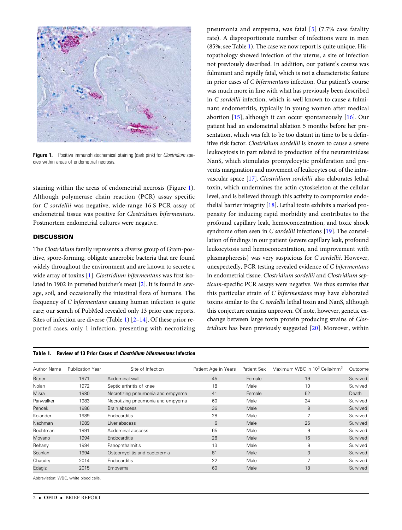

Figure 1. Positive immunohistochemical staining (dark pink) for *Clostridium* species within areas of endometrial necrosis.

staining within the areas of endometrial necrosis (Figure 1). Although polymerase chain reaction (PCR) assay specific for C sordellii was negative, wide-range 16 S PCR assay of endometrial tissue was positive for Clostridium bifermentans. Postmortem endometrial cultures were negative.

#### **DISCUSSION**

The Clostridium family represents a diverse group of Gram-positive, spore-forming, obligate anaerobic bacteria that are found widely throughout the environment and are known to secrete a wide array of toxins [\[1\]](#page-3-0). Clostridium bifermentans was first isolated in 1902 in putrefied butcher's meat [[2](#page-3-0)]. It is found in sewage, soil, and occasionally the intestinal flora of humans. The frequency of C bifermentans causing human infection is quite rare; our search of PubMed revealed only 13 prior case reports. Sites of infection are diverse (Table 1) [[2](#page-3-0)–[14](#page-3-0)]. Of these prior reported cases, only 1 infection, presenting with necrotizing



pneumonia and empyema, was fatal [[5\]](#page-3-0) (7.7% case fatality rate). A disproportionate number of infections were in men (85%; see Table 1). The case we now report is quite unique. Histopathology showed infection of the uterus, a site of infection not previously described. In addition, our patient's course was fulminant and rapidly fatal, which is not a characteristic feature in prior cases of C bifermentans infection. Our patient's course was much more in line with what has previously been described in C sordellii infection, which is well known to cause a fulminant endometritis, typically in young women after medical abortion [\[15\]](#page-3-0), although it can occur spontaneously [[16](#page-3-0)]. Our patient had an endometrial ablation 5 months before her presentation, which was felt to be too distant in time to be a definitive risk factor. Clostridium sordellii is known to cause a severe leukocytosis in part related to production of the neuraminidase NanS, which stimulates promyelocytic proliferation and prevents margination and movement of leukocytes out of the intravascular space [\[17](#page-3-0)]. Clostridium sordellii also elaborates lethal toxin, which undermines the actin cytoskeleton at the cellular level, and is believed through this activity to compromise endothelial barrier integrity [[18\]](#page-3-0). Lethal toxin exhibits a marked propensity for inducing rapid morbidity and contributes to the profound capillary leak, hemoconcentration, and toxic shock syndrome often seen in C sordellii infections [\[19](#page-3-0)]. The constellation of findings in our patient (severe capillary leak, profound leukocytosis and hemoconcentration, and improvement with plasmapheresis) was very suspicious for C sordellii. However, unexpectedly, PCR testing revealed evidence of C bifermentans in endometrial tissue. Clostridium sordellii and Clostridium septicum-specific PCR assays were negative. We thus surmise that this particular strain of C bifermentans may have elaborated toxins similar to the C sordellii lethal toxin and NanS, although this conjecture remains unproven. Of note, however, genetic exchange between large toxin protein producing strains of Clostridium has been previously suggested  $[20]$  $[20]$  $[20]$ . Moreover, within

| <b>Author Name</b> | <b>Publication Year</b> | Site of Infection                 | Patient Age in Years | <b>Patient Sex</b> | Maximum WBC in 10 <sup>3</sup> Cells/mm <sup>3</sup> | Outcome  |
|--------------------|-------------------------|-----------------------------------|----------------------|--------------------|------------------------------------------------------|----------|
| <b>Bitner</b>      | 1971                    | Abdominal wall                    | 45                   | Female             | 19                                                   | Survived |
| Nolan              | 1972                    | Septic arthritis of knee          | 18                   | Male               | 10                                                   | Survived |
| Misra              | 1980                    | Necrotizing pneumonia and empyema | 41                   | Female             | 52                                                   | Death    |
| Panwalker          | 1983                    | Necrotizing pneumonia and empyema | 60                   | Male               | 24                                                   | Survived |
| Pencek             | 1986                    | Brain abscess                     | 36                   | Male               | 9                                                    | Survived |
| Kolander           | 1989                    | <b>Endocarditis</b>               | 28                   | Male               | $\overline{7}$                                       | Survived |
| Nachman            | 1989                    | Liver abscess                     | 6                    | Male               | 25                                                   | Survived |
| Rechtman           | 1991                    | Abdominal abscess                 | 65                   | Male               | 9                                                    | Survived |
| Moyano             | 1994                    | <b>Endocarditis</b>               | 26                   | Male               | 16                                                   | Survived |
| Rehany             | 1994                    | Panophthalmitis                   | 13                   | Male               | 9                                                    | Survived |
| Scanlan            | 1994                    | Osteomyelitis and bacteremia      | 81                   | Male               | 3                                                    | Survived |
| Chaudry            | 2014                    | <b>Endocarditis</b>               | 22                   | Male               | $\overline{ }$                                       | Survived |
| Edagiz             | 2015                    | Empyema                           | 60                   | Male               | 18                                                   | Survived |

Abbreviation: WBC, white blood cells.